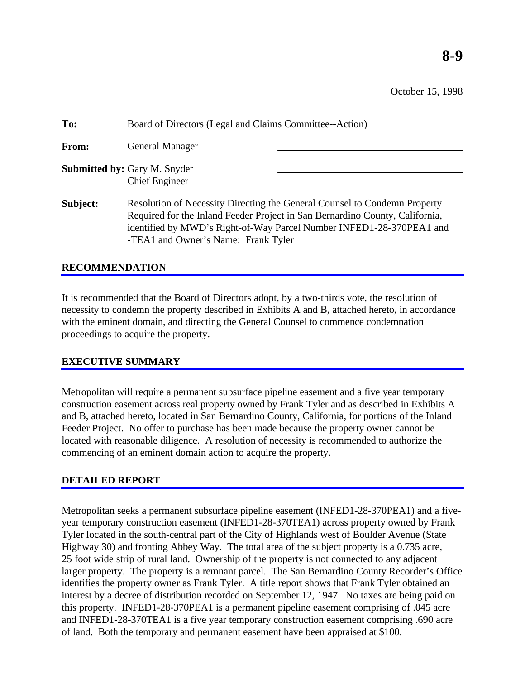October 15, 1998

| To:      | Board of Directors (Legal and Claims Committee--Action)                                                                                                                                                                                                                  |
|----------|--------------------------------------------------------------------------------------------------------------------------------------------------------------------------------------------------------------------------------------------------------------------------|
| From:    | <b>General Manager</b>                                                                                                                                                                                                                                                   |
|          | <b>Submitted by: Gary M. Snyder</b><br><b>Chief Engineer</b>                                                                                                                                                                                                             |
| Subject: | Resolution of Necessity Directing the General Counsel to Condemn Property<br>Required for the Inland Feeder Project in San Bernardino County, California,<br>identified by MWD's Right-of-Way Parcel Number INFED1-28-370PEA1 and<br>-TEA1 and Owner's Name: Frank Tyler |

## **RECOMMENDATION**

It is recommended that the Board of Directors adopt, by a two-thirds vote, the resolution of necessity to condemn the property described in Exhibits A and B, attached hereto, in accordance with the eminent domain, and directing the General Counsel to commence condemnation proceedings to acquire the property.

# **EXECUTIVE SUMMARY**

Metropolitan will require a permanent subsurface pipeline easement and a five year temporary construction easement across real property owned by Frank Tyler and as described in Exhibits A and B, attached hereto, located in San Bernardino County, California, for portions of the Inland Feeder Project. No offer to purchase has been made because the property owner cannot be located with reasonable diligence. A resolution of necessity is recommended to authorize the commencing of an eminent domain action to acquire the property.

#### **DETAILED REPORT**

Metropolitan seeks a permanent subsurface pipeline easement (INFED1-28-370PEA1) and a fiveyear temporary construction easement (INFED1-28-370TEA1) across property owned by Frank Tyler located in the south-central part of the City of Highlands west of Boulder Avenue (State Highway 30) and fronting Abbey Way. The total area of the subject property is a 0.735 acre, 25 foot wide strip of rural land. Ownership of the property is not connected to any adjacent larger property. The property is a remnant parcel. The San Bernardino County Recorder's Office identifies the property owner as Frank Tyler. A title report shows that Frank Tyler obtained an interest by a decree of distribution recorded on September 12, 1947. No taxes are being paid on this property. INFED1-28-370PEA1 is a permanent pipeline easement comprising of .045 acre and INFED1-28-370TEA1 is a five year temporary construction easement comprising .690 acre of land. Both the temporary and permanent easement have been appraised at \$100.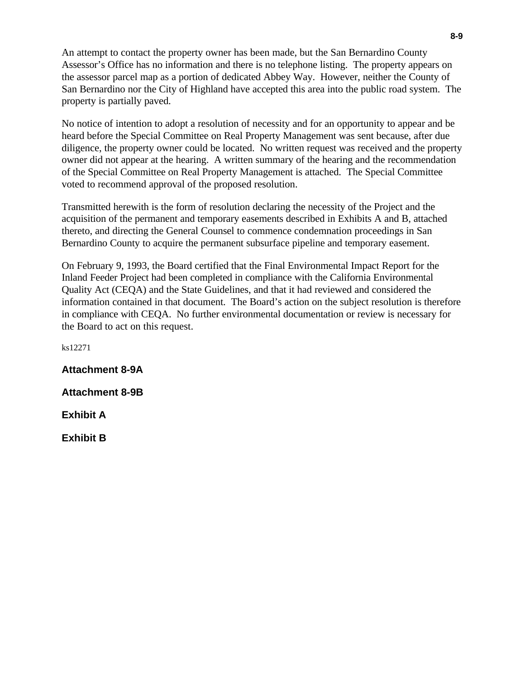An attempt to contact the property owner has been made, but the San Bernardino County Assessor's Office has no information and there is no telephone listing. The property appears on the assessor parcel map as a portion of dedicated Abbey Way. However, neither the County of San Bernardino nor the City of Highland have accepted this area into the public road system. The property is partially paved.

No notice of intention to adopt a resolution of necessity and for an opportunity to appear and be heard before the Special Committee on Real Property Management was sent because, after due diligence, the property owner could be located. No written request was received and the property owner did not appear at the hearing. A written summary of the hearing and the recommendation of the Special Committee on Real Property Management is attached. The Special Committee voted to recommend approval of the proposed resolution.

Transmitted herewith is the form of resolution declaring the necessity of the Project and the acquisition of the permanent and temporary easements described in Exhibits A and B, attached thereto, and directing the General Counsel to commence condemnation proceedings in San Bernardino County to acquire the permanent subsurface pipeline and temporary easement.

On February 9, 1993, the Board certified that the Final Environmental Impact Report for the Inland Feeder Project had been completed in compliance with the California Environmental Quality Act (CEQA) and the State Guidelines, and that it had reviewed and considered the information contained in that document. The Board's action on the subject resolution is therefore in compliance with CEQA. No further environmental documentation or review is necessary for the Board to act on this request.

ks12271

**Attachment 8-9A**

**Attachment 8-9B**

**Exhibit A**

**Exhibit B**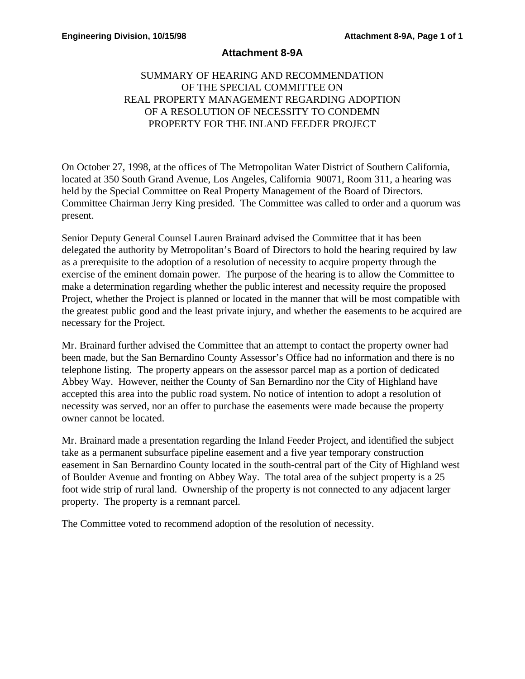## **Attachment 8-9A**

# SUMMARY OF HEARING AND RECOMMENDATION OF THE SPECIAL COMMITTEE ON REAL PROPERTY MANAGEMENT REGARDING ADOPTION OF A RESOLUTION OF NECESSITY TO CONDEMN PROPERTY FOR THE INLAND FEEDER PROJECT

On October 27, 1998, at the offices of The Metropolitan Water District of Southern California, located at 350 South Grand Avenue, Los Angeles, California 90071, Room 311, a hearing was held by the Special Committee on Real Property Management of the Board of Directors. Committee Chairman Jerry King presided. The Committee was called to order and a quorum was present.

Senior Deputy General Counsel Lauren Brainard advised the Committee that it has been delegated the authority by Metropolitan's Board of Directors to hold the hearing required by law as a prerequisite to the adoption of a resolution of necessity to acquire property through the exercise of the eminent domain power. The purpose of the hearing is to allow the Committee to make a determination regarding whether the public interest and necessity require the proposed Project, whether the Project is planned or located in the manner that will be most compatible with the greatest public good and the least private injury, and whether the easements to be acquired are necessary for the Project.

Mr. Brainard further advised the Committee that an attempt to contact the property owner had been made, but the San Bernardino County Assessor's Office had no information and there is no telephone listing. The property appears on the assessor parcel map as a portion of dedicated Abbey Way. However, neither the County of San Bernardino nor the City of Highland have accepted this area into the public road system. No notice of intention to adopt a resolution of necessity was served, nor an offer to purchase the easements were made because the property owner cannot be located.

Mr. Brainard made a presentation regarding the Inland Feeder Project, and identified the subject take as a permanent subsurface pipeline easement and a five year temporary construction easement in San Bernardino County located in the south-central part of the City of Highland west of Boulder Avenue and fronting on Abbey Way. The total area of the subject property is a 25 foot wide strip of rural land. Ownership of the property is not connected to any adjacent larger property. The property is a remnant parcel.

The Committee voted to recommend adoption of the resolution of necessity.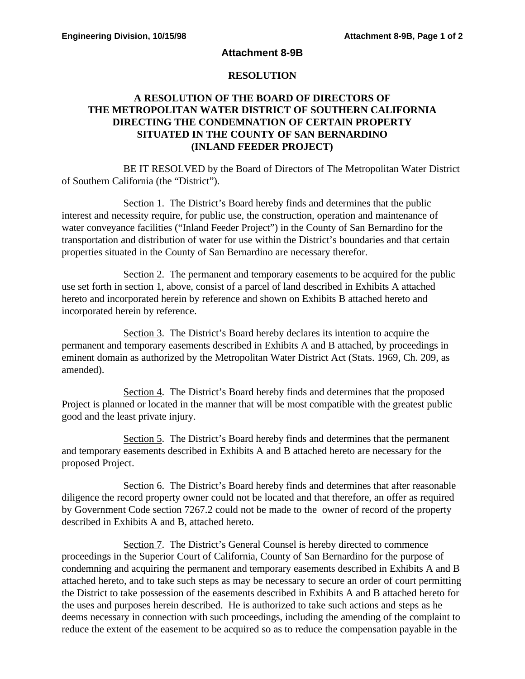#### **Attachment 8-9B**

### **RESOLUTION**

## **A RESOLUTION OF THE BOARD OF DIRECTORS OF THE METROPOLITAN WATER DISTRICT OF SOUTHERN CALIFORNIA DIRECTING THE CONDEMNATION OF CERTAIN PROPERTY SITUATED IN THE COUNTY OF SAN BERNARDINO (INLAND FEEDER PROJECT)**

BE IT RESOLVED by the Board of Directors of The Metropolitan Water District of Southern California (the "District").

Section 1. The District's Board hereby finds and determines that the public interest and necessity require, for public use, the construction, operation and maintenance of water conveyance facilities ("Inland Feeder Project") in the County of San Bernardino for the transportation and distribution of water for use within the District's boundaries and that certain properties situated in the County of San Bernardino are necessary therefor.

Section 2. The permanent and temporary easements to be acquired for the public use set forth in section 1, above, consist of a parcel of land described in Exhibits A attached hereto and incorporated herein by reference and shown on Exhibits B attached hereto and incorporated herein by reference.

Section 3. The District's Board hereby declares its intention to acquire the permanent and temporary easements described in Exhibits A and B attached, by proceedings in eminent domain as authorized by the Metropolitan Water District Act (Stats. 1969, Ch. 209, as amended).

Section 4. The District's Board hereby finds and determines that the proposed Project is planned or located in the manner that will be most compatible with the greatest public good and the least private injury.

Section 5. The District's Board hereby finds and determines that the permanent and temporary easements described in Exhibits A and B attached hereto are necessary for the proposed Project.

Section 6. The District's Board hereby finds and determines that after reasonable diligence the record property owner could not be located and that therefore, an offer as required by Government Code section 7267.2 could not be made to the owner of record of the property described in Exhibits A and B, attached hereto.

Section 7. The District's General Counsel is hereby directed to commence proceedings in the Superior Court of California, County of San Bernardino for the purpose of condemning and acquiring the permanent and temporary easements described in Exhibits A and B attached hereto, and to take such steps as may be necessary to secure an order of court permitting the District to take possession of the easements described in Exhibits A and B attached hereto for the uses and purposes herein described. He is authorized to take such actions and steps as he deems necessary in connection with such proceedings, including the amending of the complaint to reduce the extent of the easement to be acquired so as to reduce the compensation payable in the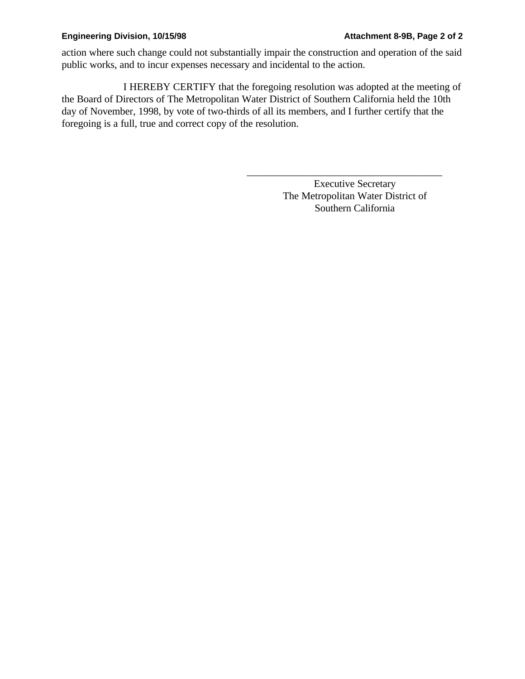#### **Engineering Division, 10/15/98 Attachment 8-9B, Page 2 of 2**

action where such change could not substantially impair the construction and operation of the said public works, and to incur expenses necessary and incidental to the action.

I HEREBY CERTIFY that the foregoing resolution was adopted at the meeting of the Board of Directors of The Metropolitan Water District of Southern California held the 10th day of November, 1998, by vote of two-thirds of all its members, and I further certify that the foregoing is a full, true and correct copy of the resolution.

> Executive Secretary The Metropolitan Water District of Southern California

\_\_\_\_\_\_\_\_\_\_\_\_\_\_\_\_\_\_\_\_\_\_\_\_\_\_\_\_\_\_\_\_\_\_\_\_\_\_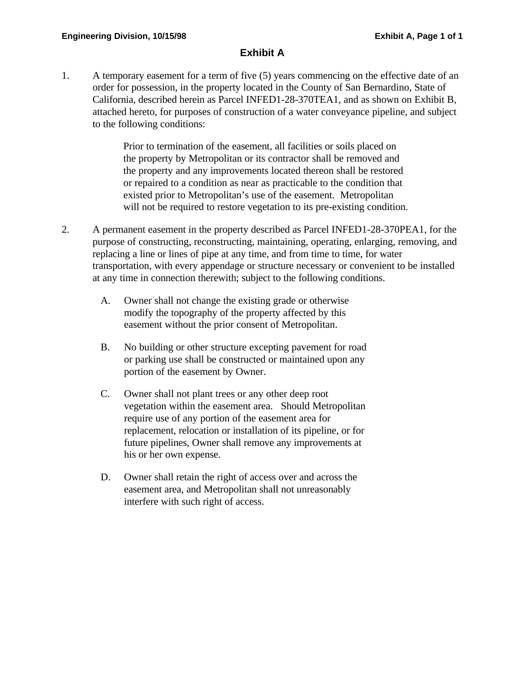## **Exhibit A**

1. A temporary easement for a term of five (5) years commencing on the effective date of an order for possession, in the property located in the County of San Bernardino, State of California, described herein as Parcel INFED1-28-370TEA1, and as shown on Exhibit B, attached hereto, for purposes of construction of a water conveyance pipeline, and subject to the following conditions:

> Prior to termination of the easement, all facilities or soils placed on the property by Metropolitan or its contractor shall be removed and the property and any improvements located thereon shall be restored or repaired to a condition as near as practicable to the condition that existed prior to Metropolitan's use of the easement. Metropolitan will not be required to restore vegetation to its pre-existing condition.

- 2. A permanent easement in the property described as Parcel INFED1-28-370PEA1, for the purpose of constructing, reconstructing, maintaining, operating, enlarging, removing, and replacing a line or lines of pipe at any time, and from time to time, for water transportation, with every appendage or structure necessary or convenient to be installed at any time in connection therewith; subject to the following conditions.
	- A. Owner shall not change the existing grade or otherwise modify the topography of the property affected by this easement without the prior consent of Metropolitan.
	- B. No building or other structure excepting pavement for road or parking use shall be constructed or maintained upon any portion of the easement by Owner.
	- C. Owner shall not plant trees or any other deep root vegetation within the easement area. Should Metropolitan require use of any portion of the easement area for replacement, relocation or installation of its pipeline, or for future pipelines, Owner shall remove any improvements at his or her own expense.
	- D. Owner shall retain the right of access over and across the easement area, and Metropolitan shall not unreasonably interfere with such right of access.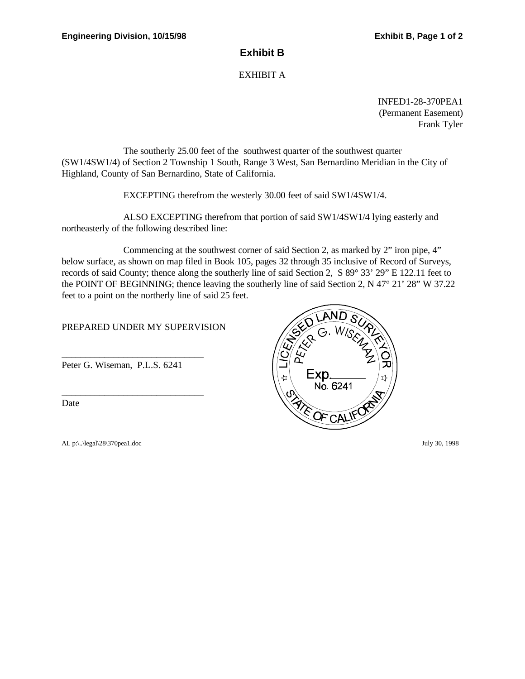### **Exhibit B**

#### EXHIBIT A

INFED1-28-370PEA1 (Permanent Easement) Frank Tyler

The southerly 25.00 feet of the southwest quarter of the southwest quarter (SW1/4SW1/4) of Section 2 Township 1 South, Range 3 West, San Bernardino Meridian in the City of Highland, County of San Bernardino, State of California.

EXCEPTING therefrom the westerly 30.00 feet of said SW1/4SW1/4.

ALSO EXCEPTING therefrom that portion of said SW1/4SW1/4 lying easterly and northeasterly of the following described line:

Commencing at the southwest corner of said Section 2, as marked by 2" iron pipe, 4" below surface, as shown on map filed in Book 105, pages 32 through 35 inclusive of Record of Surveys, records of said County; thence along the southerly line of said Section 2, S 89° 33' 29" E 122.11 feet to the POINT OF BEGINNING; thence leaving the southerly line of said Section 2, N 47° 21' 28" W 37.22 feet to a point on the northerly line of said 25 feet.

PREPARED UNDER MY SUPERVISION

Peter G. Wiseman, P.L.S. 6241

\_\_\_\_\_\_\_\_\_\_\_\_\_\_\_\_\_\_\_\_\_\_\_\_\_\_\_\_\_\_

\_\_\_\_\_\_\_\_\_\_\_\_\_\_\_\_\_\_\_\_\_\_\_\_\_\_\_\_\_\_

Date

AL p:\..\legal\28\370pea1.doc July 30, 1998